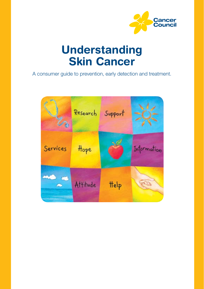

# Understanding Skin Cancer

A consumer guide to prevention, early detection and treatment.

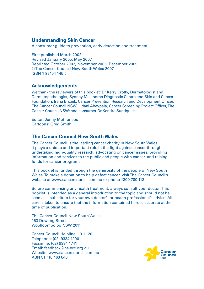#### **Understanding Skin Cancer**

A consumer guide to prevention, early detection and treatment.

First published March 2002 Revised January 2005, May 2007 Reprinted October 2002, November 2005, December 2009 © The Cancer Council New South Wales 2007 ISBN 1 92104 145 5

#### **Acknowledgements**

We thank the reviewers of this booklet: Dr Kerry Crotty, Dermatologist and Dermatopathologist, Sydney Melanoma Diagnostic Centre and Skin and Cancer Foundation; Irena Brozek, Cancer Prevention Research and Development Officer, The Cancer Council NSW; Udani Abeypala, Cancer Screening Project Officer, The Cancer Council NSW; and consumer Dr Kendra Sundquist.

Editor: Jenny Mothoneos Cartoons: Greg Smith

#### **The Cancer Council New South Wales**

The Cancer Council is the leading cancer charity in New South Wales. It plays a unique and important role in the fight against cancer through undertaking high-quality research, advocating on cancer issues, providing information and services to the public and people with cancer, and raising funds for cancer programs.

This booklet is funded through the generosity of the people of New South Wales. To make a donation to help defeat cancer, visit The Cancer Council's website at www.cancercouncil.com.au or phone 1300 780 113.

Before commencing any health treatment, always consult your doctor. This booklet is intended as a general introduction to the topic and should not be seen as a substitute for your own doctor's or health professional's advice. All care is taken to ensure that the information contained here is accurate at the time of publication.

The Cancer Council New South Wales 153 Dowling Street Woolloomooloo NSW 2011

Cancer Council Helpline: 13 11 20 Telephone: (02) 9334 1900 Facsimile: (02) 9334 1741 Email: feedback@nswcc.org.au Website: www.cancercouncil.com.au. ABN 51 116 463 846

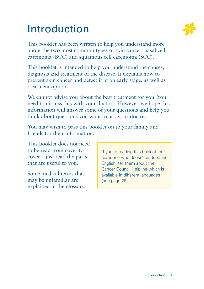# Introduction



This booklet is intended to help you understand the causes, diagnosis and treatment of the disease. It explains how to prevent skin cancer and detect it at an early stage, as well as treatment options.

We cannot advise you about the best treatment for you. You need to discuss this with your doctors. However, we hope this information will answer some of your questions and help you think about questions you want to ask your doctor.

You may wish to pass this booklet on to your family and friends for their information.

This booklet does not need to be read from cover to cover – just read the parts that are useful to you.

Some medical terms that may be unfamiliar are explained in the glossary. If you're reading this booklet for someone who doesn't understand English, tell them about the Cancer Council Helpline which is available in different languages (see page 28).

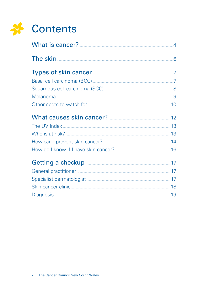

| The skin 6                                                                                                                                                                                                                                     |  |
|------------------------------------------------------------------------------------------------------------------------------------------------------------------------------------------------------------------------------------------------|--|
| <b>Types of skin cancer</b>                                                                                                                                                                                                                    |  |
|                                                                                                                                                                                                                                                |  |
|                                                                                                                                                                                                                                                |  |
|                                                                                                                                                                                                                                                |  |
|                                                                                                                                                                                                                                                |  |
|                                                                                                                                                                                                                                                |  |
|                                                                                                                                                                                                                                                |  |
|                                                                                                                                                                                                                                                |  |
|                                                                                                                                                                                                                                                |  |
|                                                                                                                                                                                                                                                |  |
| <b>Getting a checkup <u>[</u></b> [17] <b>Continued a contract of the contract of the contract of the contract of the contract of the contract of the contract of the contract of the contract of the contract of the contract of the cont</b> |  |
|                                                                                                                                                                                                                                                |  |
|                                                                                                                                                                                                                                                |  |
|                                                                                                                                                                                                                                                |  |
|                                                                                                                                                                                                                                                |  |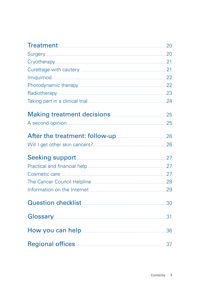| Treatment 20                                                                  |     |
|-------------------------------------------------------------------------------|-----|
|                                                                               |     |
|                                                                               |     |
|                                                                               |     |
| <u>Imiquimod 22</u>                                                           |     |
|                                                                               |     |
| Radiotherapy 23                                                               |     |
|                                                                               |     |
| Making treatment decisions <b>Making treatment</b> decisions <b>Making</b> 25 |     |
|                                                                               |     |
| After the treatment: follow-up <b>manually 26</b> 26                          |     |
|                                                                               |     |
|                                                                               |     |
|                                                                               |     |
|                                                                               |     |
|                                                                               |     |
|                                                                               |     |
| Question checklist                                                            | .30 |
| Glossary                                                                      | 31  |
|                                                                               | .36 |
|                                                                               | 37  |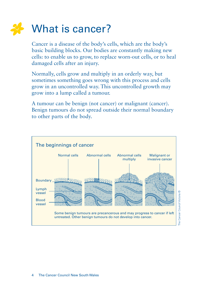

Cancer is a disease of the body's cells, which are the body's basic building blocks. Our bodies are constantly making new cells: to enable us to grow, to replace worn-out cells, or to heal damaged cells after an injury.

Normally, cells grow and multiply in an orderly way, but sometimes something goes wrong with this process and cells grow in an uncontrolled way. This uncontrolled growth may grow into a lump called a tumour.

A tumour can be benign (not cancer) or malignant (cancer). Benign tumours do not spread outside their normal boundary to other parts of the body.



Cancer Council Victoria © The Cancer Council Victoria ©횓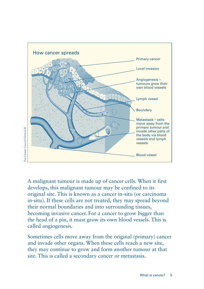

A malignant tumour is made up of cancer cells. When it first develops, this malignant tumour may be confined to its original site. This is known as a cancer in-situ (or carcinoma in-situ). If these cells are not treated, they may spread beyond their normal boundaries and into surrounding tissues, becoming invasive cancer. For a cancer to grow bigger than the head of a pin, it must grow its own blood vessels. This is called angiogenesis.

Sometimes cells move away from the original (primary) cancer and invade other organs. When these cells reach a new site, they may continue to grow and form another tumour at that site. This is called a secondary cancer or metastasis.

# Cancer Council Victoria © The Cancer Council Victoria ©  $\frac{1}{2}$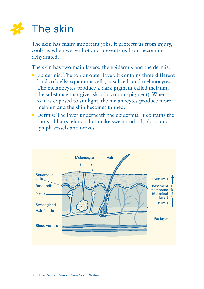

The skin has many important jobs. It protects us from injury, cools us when we get hot and prevents us from becoming dehydrated.

The skin has two main layers: the epidermis and the dermis.

- Epidermis: The top or outer layer. It contains three different kinds of cells: squamous cells, basal cells and melanocytes. The melanocytes produce a dark pigment called melanin, the substance that gives skin its colour (pigment). When skin is exposed to sunlight, the melanocytes produce more melanin and the skin becomes tanned.
- Dermis: The layer underneath the epidermis. It contains the roots of hairs, glands that make sweat and oil, blood and lymph vessels and nerves.

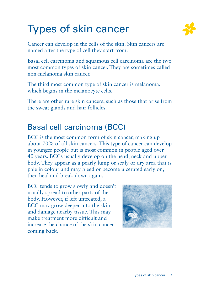# Types of skin cancer



Cancer can develop in the cells of the skin. Skin cancers are named after the type of cell they start from.

Basal cell carcinoma and squamous cell carcinoma are the two most common types of skin cancer. They are sometimes called non-melanoma skin cancer.

The third most common type of skin cancer is melanoma, which begins in the melanocyte cells.

There are other rare skin cancers, such as those that arise from the sweat glands and hair follicles.

## Basal cell carcinoma (BCC)

BCC is the most common form of skin cancer, making up about 70% of all skin cancers. This type of cancer can develop in younger people but is most common in people aged over 40 years. BCCs usually develop on the head, neck and upper body. They appear as a pearly lump or scaly or dry area that is pale in colour and may bleed or become ulcerated early on, then heal and break down again.

BCC tends to grow slowly and doesn't usually spread to other parts of the body. However, if left untreated, a BCC may grow deeper into the skin and damage nearby tissue. This may make treatment more difficult and increase the chance of the skin cancer coming back.

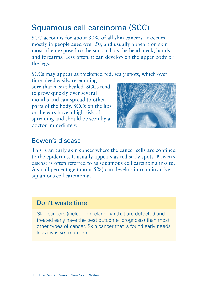# Squamous cell carcinoma (SCC)

SCC accounts for about 30% of all skin cancers. It occurs mostly in people aged over 50, and usually appears on skin most often exposed to the sun such as the head, neck, hands and forearms. Less often, it can develop on the upper body or the legs.

SCCs may appear as thickened red, scaly spots, which over

time bleed easily, resembling a sore that hasn't healed. SCCs tend. to grow quickly over several months and can spread to other parts of the body. SCCs on the lips or the ears have a high risk of spreading and should be seen by a doctor immediately.



### Bowen's disease

This is an early skin cancer where the cancer cells are confined to the epidermis. It usually appears as red scaly spots. Bowen's disease is often referred to as squamous cell carcinoma in-situ. A small percentage (about 5%) can develop into an invasive squamous cell carcinoma.

### Don't waste time

Skin cancers (including melanoma) that are detected and treated early have the best outcome (prognosis) than most other types of cancer. Skin cancer that is found early needs less invasive treatment.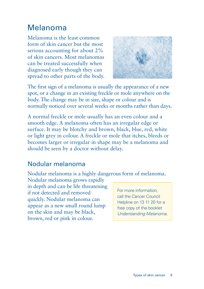## Melanoma

Melanoma is the least common form of skin cancer but the most serious accounting for about 2% of skin cancers. Most melanomas can be treated successfully when diagnosed early though they can spread to other parts of the body.



The first sign of a melanoma is usually the appearance of a new spot, or a change in an existing freckle or mole anywhere on the body. The change may be in size, shape or colour and is normally noticed over several weeks or months rather than days.

A normal freckle or mole usually has an even colour and a smooth edge. A melanoma often has an irregular edge or surface. It may be blotchy and brown, black, blue, red, white or light grey in colour. A freckle or mole that itches, bleeds or becomes larger or irregular in shape may be a melanoma and should be seen by a doctor without delay.

### Nodular melanoma

Nodular melanoma is a highly dangerous form of melanoma.

Nodular melanoma grows rapidly in depth and can be life threatening if not detected and removed quickly. Nodular melanoma can appear as a new small round lump on the skin and may be black, brown, red or pink in colour.

For more information, call the Cancer Council Helpline on 13 11 20 for a free copy of the booklet *Understanding Melanoma*.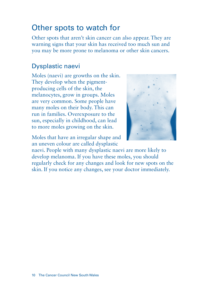## Other spots to watch for

Other spots that aren't skin cancer can also appear. They are warning signs that your skin has received too much sun and you may be more prone to melanoma or other skin cancers.

## Dysplastic naevi

Moles (naevi) are growths on the skin. They develop when the pigmentproducing cells of the skin, the melanocytes, grow in groups. Moles are very common. Some people have many moles on their body. This can run in families. Overexposure to the sun, especially in childhood, can lead to more moles growing on the skin.

Moles that have an irregular shape and an uneven colour are called dysplastic



naevi. People with many dysplastic naevi are more likely to develop melanoma. If you have these moles, you should regularly check for any changes and look for new spots on the skin. If you notice any changes, see your doctor immediately.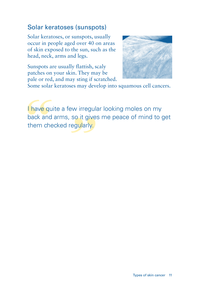## Solar keratoses (sunspots)

Solar keratoses, or sunspots, usually occur in people aged over 40 on areas of skin exposed to the sun, such as the head, neck, arms and legs.



Sunspots are usually flattish, scaly patches on your skin. They may be pale or red, and may sting if scratched.

Some solar keratoses may develop into squamous cell cancers.

I have quite a few irregular looking moles on my back and arms, so it gives me peace of mind to get them checked regularly.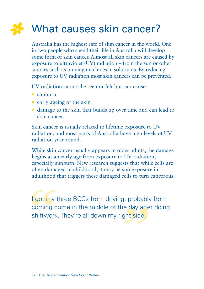# What causes skin cancer?

Australia has the highest rate of skin cancer in the world. One in two people who spend their life in Australia will develop some form of skin cancer. Almost all skin cancers are caused by exposure to ultraviolet (UV) radiation – from the sun or other sources such as tanning machines in solariums. By reducing exposure to UV radiation most skin cancers can be prevented.

UV radiation cannot be seen or felt but can cause:

- sunburn
- early ageing of the skin
- damage to the skin that builds up over time and can lead to skin cancer.

Skin cancer is usually related to lifetime exposure to UV radiation, and most parts of Australia have high levels of UV radiation year round.

While skin cancer usually appears in older adults, the damage begins at an early age from exposure to UV radiation, especially sunburn. New research suggests that while cells are often damaged in childhood, it may be sun exposure in adulthood that triggers these damaged cells to turn cancerous.

I got my three BCCs from driving, probably from coming home in the middle of the day after doing shiftwork. They're all down my right side.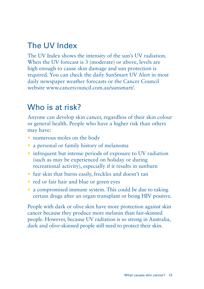# The UV Index

The UV Index shows the intensity of the sun's UV radiation. When the UV forecast is 3 (moderate) or above, levels are high enough to cause skin damage and sun protection is required. You can check the daily SunSmart UV Alert in most daily newspaper weather forecasts or the Cancer Council website www.cancercouncil.com.au/sunsmart/.

## Who is at risk?

Anyone can develop skin cancer, regardless of their skin colour or general health. People who have a higher risk than others may have:

- numerous moles on the body
- a personal or family history of melanoma
- infrequent but intense periods of exposure to UV radiation (such as may be experienced on holiday or during recreational activity), especially if it results in sunburn
- fair skin that burns easily, freckles and doesn't tan
- red or fair hair and blue or green eyes
- a compromised immune system. This could be due to taking certain drugs after an organ transplant or being HIV positive.

People with dark or olive skin have more protection against skin cancer because they produce more melanin than fair-skinned people. However, because UV radiation is so strong in Australia, dark and olive-skinned people still need to protect their skin.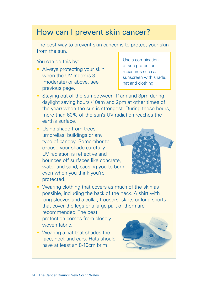## How can I prevent skin cancer?

The best way to prevent skin cancer is to protect your skin from the sun.

You can do this by:

• Always protecting your skin when the UV Index is 3 (moderate) or above, see previous page.

Use a combination of sun protection measures such as sunscreen with shade, hat and clothing.

- Staying out of the sun between 11am and 3pm during daylight saving hours (10am and 2pm at other times of the year) when the sun is strongest. During these hours, more than 60% of the sun's UV radiation reaches the earth's surface.
- Using shade from trees. umbrellas, buildings or any type of canopy. Remember to choose your shade carefully. UV radiation is reflective and bounces off surfaces like concrete, water and sand, causing you to burn even when you think you're protected.



- Wearing clothing that covers as much of the skin as possible, including the back of the neck. A shirt with long sleeves and a collar, trousers, skirts or long shorts that cover the legs or a large part of them are recommended. The best protection comes from closely woven fabric.
- Wearing a hat that shades the face, neck and ears. Hats should have at least an 8-10cm brim.

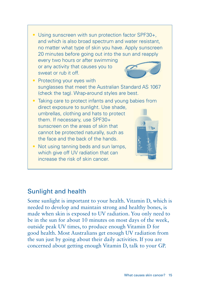• Using sunscreen with sun protection factor SPF30+. and which is also broad spectrum and water resistant, no matter what type of skin you have. Apply sunscreen 20 minutes before going out into the sun and reapply every two hours or after swimming or any activity that causes you to sweat or rub it off. • Protecting your eyes with sunglasses that meet the Australian Standard AS 1067 (check the tag). Wrap-around styles are best. Taking care to protect infants and young babies from direct exposure to sunlight. Use shade, umbrellas, clothing and hats to protect them. If necessary, use SPF30+ sunscreen on the areas of skin that cannot be protected naturally, such as the face and the back of the hands. • Not using tanning beds and sun lamps, which give off UV radiation that can increase the risk of skin cancer.

## Sunlight and health

Some sunlight is important to your health. Vitamin D, which is needed to develop and maintain strong and healthy bones, is made when skin is exposed to UV radiation. You only need to be in the sun for about 10 minutes on most days of the week, outside peak UV times, to produce enough Vitamin D for good health. Most Australians get enough UV radiation from the sun just by going about their daily activities. If you are concerned about getting enough Vitamin D, talk to your GP.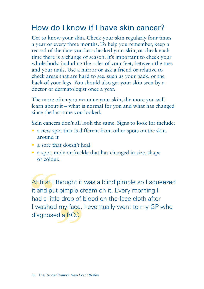## How do I know if I have skin cancer?

Get to know your skin. Check your skin regularly four times a year or every three months. To help you remember, keep a record of the date you last checked your skin, or check each time there is a change of season. It's important to check your whole body, including the soles of your feet, between the toes and your nails. Use a mirror or ask a friend or relative to check areas that are hard to see, such as your back, or the back of your legs. You should also get your skin seen by a doctor or dermatologist once a year.

The more often you examine your skin, the more you will learn about it – what is normal for you and what has changed since the last time you looked.

Skin cancers don't all look the same. Signs to look for include:

- $\bullet$  a new spot that is different from other spots on the skin around it
- a sore that doesn't heal
- a spot, mole or freckle that has changed in size, shape or colour.

At first I thought it was a blind pimple so I squeezed it and put pimple cream on it. Every morning I had a little drop of blood on the face cloth after I washed my face. I eventually went to my GP who diagnosed a BCC.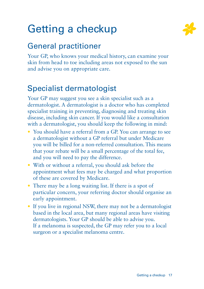# Getting a checkup



## General practitioner

Your GP, who knows your medical history, can examine your skin from head to toe including areas not exposed to the sun and advise you on appropriate care.

# Specialist dermatologist

Your GP may suggest you see a skin specialist such as a dermatologist. A dermatologist is a doctor who has completed specialist training in preventing, diagnosing and treating skin disease, including skin cancer. If you would like a consultation with a dermatologist, you should keep the following in mind:

- You should have a referral from a GP. You can arrange to see a dermatologist without a GP referral but under Medicare you will be billed for a non-referred consultation. This means that your rebate will be a small percentage of the total fee, and you will need to pay the difference.
- With or without a referral, you should ask before the appointment what fees may be charged and what proportion of these are covered by Medicare.
- $\bullet$  There may be a long waiting list. If there is a spot of particular concern, your referring doctor should organise an early appointment.
- If you live in regional NSW, there may not be a dermatologist based in the local area, but many regional areas have visiting dermatologists. Your GP should be able to advise you. If a melanoma is suspected, the GP may refer you to a local surgeon or a specialist melanoma centre.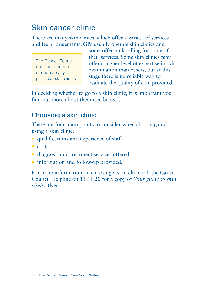# Skin cancer clinic

There are many skin clinics, which offer a variety of services and fee arrangements. GPs usually operate skin clinics and

The Cancer Council does not operate or endorse any particular skin clinics.

some offer bulk-billing for some of their services. Some skin clinics may offer a higher level of expertise in skin examination than others, but at this stage there is no reliable way to evaluate the quality of care provided.

In deciding whether to go to a skin clinic, it is important you find out more about them (see below).

## Choosing a skin clinic

There are four main points to consider when choosing and using a skin clinic:

- qualifications and experience of staff
- costs
- diagnosis and treatment services offered
- information and follow-up provided.

For more information on choosing a skin clinic call the Cancer Council Helpline on 13 11 20 for a copy of *Your guide to skin clinics* flyer.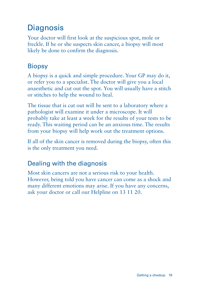# **Diagnosis**

Your doctor will first look at the suspicious spot, mole or freckle. If he or she suspects skin cancer, a biopsy will most likely be done to confirm the diagnosis.

## **Biopsy**

A biopsy is a quick and simple procedure. Your GP may do it, or refer you to a specialist. The doctor will give you a local anaesthetic and cut out the spot. You will usually have a stitch or stitches to help the wound to heal.

The tissue that is cut out will be sent to a laboratory where a pathologist will examine it under a microscope. It will probably take at least a week for the results of your tests to be ready. This waiting period can be an anxious time. The results from your biopsy will help work out the treatment options.

If all of the skin cancer is removed during the biopsy, often this is the only treatment you need.

## Dealing with the diagnosis

Most skin cancers are not a serious risk to your health. However, being told you have cancer can come as a shock and many different emotions may arise. If you have any concerns, ask your doctor or call our Helpline on 13 11 20.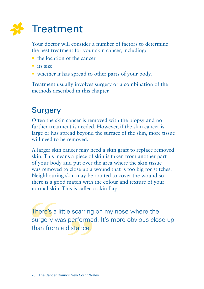

Your doctor will consider a number of factors to determine the best treatment for your skin cancer, including:

- the location of the cancer
- $\bullet$  its size
- whether it has spread to other parts of your body.

Treatment usually involves surgery or a combination of the methods described in this chapter.

## **Surgery**

Often the skin cancer is removed with the biopsy and no further treatment is needed. However, if the skin cancer is large or has spread beyond the surface of the skin, more tissue will need to be removed.

A larger skin cancer may need a skin graft to replace removed skin. This means a piece of skin is taken from another part of your body and put over the area where the skin tissue was removed to close up a wound that is too big for stitches. Neighbouring skin may be rotated to cover the wound so there is a good match with the colour and texture of your normal skin. This is called a skin flap.

There's a little scarring on my nose where the surgery was performed. It's more obvious close up than from a distance.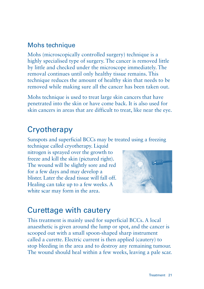### Mohs technique

Mohs (microscopically controlled surgery) technique is a highly specialised type of surgery. The cancer is removed little by little and checked under the microscope immediately. The removal continues until only healthy tissue remains. This technique reduces the amount of healthy skin that needs to be removed while making sure all the cancer has been taken out.

Mohs technique is used to treat large skin cancers that have penetrated into the skin or have come back. It is also used for skin cancers in areas that are difficult to treat, like near the eye.

## **Cryotherapy**

Sunspots and superficial BCCs may be treated using a freezing

technique called cryotherapy. Liquid nitrogen is sprayed over the growth to freeze and kill the skin (pictured right). The wound will be slightly sore and red for a few days and may develop a blister. Later the dead tissue will fall off. Healing can take up to a few weeks. A white scar may form in the area.



## Curettage with cautery

This treatment is mainly used for superficial BCCs. A local anaesthetic is given around the lump or spot, and the cancer is scooped out with a small spoon-shaped sharp instrument called a curette. Electric current is then applied (cautery) to stop bleeding in the area and to destroy any remaining tumour. The wound should heal within a few weeks, leaving a pale scar.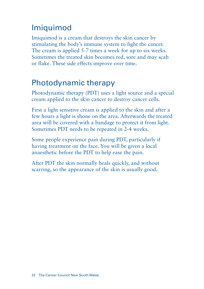## Imiquimod

Imiquimod is a cream that destroys the skin cancer by stimulating the body's immune system to fight the cancer. The cream is applied 5-7 times a week for up to six weeks. Sometimes the treated skin becomes red, sore and may scab or flake. These side effects improve over time.

## Photodynamic therapy

Photodynamic therapy (PDT) uses a light source and a special cream applied to the skin cancer to destroy cancer cells.

First a light sensitive cream is applied to the skin and after a few hours a light is shone on the area. Afterwards the treated area will be covered with a bandage to protect it from light. Sometimes PDT needs to be repeated in 2-4 weeks.

Some people experience pain during PDT, particularly if having treatment on the face. You will be given a local anaesthetic before the PDT to help ease the pain.

After PDT the skin normally heals quickly, and without scarring, so the appearance of the skin is usually good.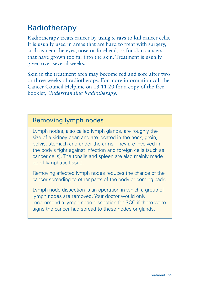# Radiotherapy

Radiotherapy treats cancer by using x-rays to kill cancer cells. It is usually used in areas that are hard to treat with surgery, such as near the eyes, nose or forehead, or for skin cancers that have grown too far into the skin. Treatment is usually given over several weeks.

Skin in the treatment area may become red and sore after two or three weeks of radiotherapy. For more information call the Cancer Council Helpline on 13 11 20 for a copy of the free booklet, *Understanding Radiotherapy*.

## Removing lymph nodes

Lymph nodes, also called lymph glands, are roughly the size of a kidney bean and are located in the neck, groin, pelvis, stomach and under the arms. They are involved in the body's fight against infection and foreign cells (such as cancer cells). The tonsils and spleen are also mainly made up of lymphatic tissue.

Removing affected lymph nodes reduces the chance of the cancer spreading to other parts of the body or coming back.

Lymph node dissection is an operation in which a group of lymph nodes are removed. Your doctor would only recommend a lymph node dissection for SCC if there were signs the cancer had spread to these nodes or glands.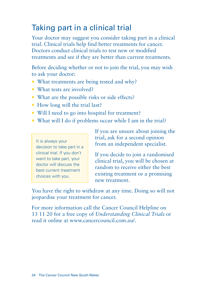# Taking part in a clinical trial

Your doctor may suggest you consider taking part in a clinical trial. Clinical trials help find better treatments for cancer. Doctors conduct clinical trials to test new or modified treatments and see if they are better than current treatments.

Before deciding whether or not to join the trial, you may wish to ask your doctor:

- What treatments are being tested and why?
- What tests are involved?
- What are the possible risks or side effects?
- How long will the trial last?
- Will I need to go into hospital for treatment?
- What will I do if problems occur while I am in the trial?

It is always your decision to take part in a clinical trial. If you don't want to take part, your doctor will discuss the best current treatment choices with you.

If you are unsure about joining the trial, ask for a second opinion from an independent specialist.

If you decide to join a randomised clinical trial, you will be chosen at random to receive either the best existing treatment or a promising new treatment.

You have the right to withdraw at any time. Doing so will not jeopardise your treatment for cancer.

For more information call the Cancer Council Helpline on 13 11 20 for a free copy of *Understanding Clinical Trials* or read it online at www.cancercouncil.com.au/.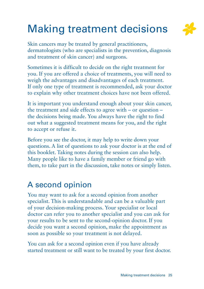# Making treatment decisions



Skin cancers may be treated by general practitioners, dermatologists (who are specialists in the prevention, diagnosis and treatment of skin cancer) and surgeons.

Sometimes it is difficult to decide on the right treatment for you. If you are offered a choice of treatments, you will need to weigh the advantages and disadvantages of each treatment. If only one type of treatment is recommended, ask your doctor to explain why other treatment choices have not been offered.

It is important you understand enough about your skin cancer, the treatment and side effects to agree with – or question – the decisions being made. You always have the right to find out what a suggested treatment means for you, and the right to accept or refuse it.

Before you see the doctor, it may help to write down your questions. A list of questions to ask your doctor is at the end of this booklet. Taking notes during the session can also help. Many people like to have a family member or friend go with them, to take part in the discussion, take notes or simply listen.

## A second opinion

You may want to ask for a second opinion from another specialist. This is understandable and can be a valuable part of your decision-making process. Your specialist or local doctor can refer you to another specialist and you can ask for your results to be sent to the second-opinion doctor. If you decide you want a second opinion, make the appointment as soon as possible so your treatment is not delayed.

You can ask for a second opinion even if you have already started treatment or still want to be treated by your first doctor.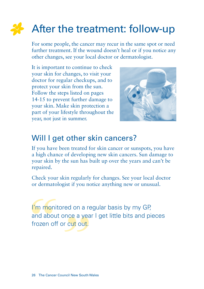# After the treatment: follow-up

For some people, the cancer may recur in the same spot or need further treatment. If the wound doesn't heal or if you notice any other changes, see your local doctor or dermatologist.

It is important to continue to check your skin for changes, to visit your doctor for regular checkups, and to protect your skin from the sun. Follow the steps listed on pages 14-15 to prevent further damage to your skin. Make skin protection a part of your lifestyle throughout the year, not just in summer.



## Will I get other skin cancers?

If you have been treated for skin cancer or sunspots, you have a high chance of developing new skin cancers. Sun damage to your skin by the sun has built up over the years and can't be repaired.

Check your skin regularly for changes. See your local doctor or dermatologist if you notice anything new or unusual.

I'm monitored on a regular basis by my GP. and about once a year I get little bits and pieces frozen off or cut out.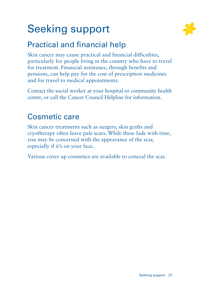# Seeking support



# Practical and financial help

Skin cancer may cause practical and financial difficulties, particularly for people living in the country who have to travel for treatment. Financial assistance, through benefits and pensions, can help pay for the cost of prescription medicines and for travel to medical appointments.

Contact the social worker at your hospital or community health centre, or call the Cancer Council Helpline for information.

## Cosmetic care

Skin cancer treatments such as surgery, skin grafts and cryotherapy often leave pale scars. While these fade with time, you may be concerned with the appearance of the scar, especially if it's on your face.

Various cover up cosmetics are available to conceal the scar.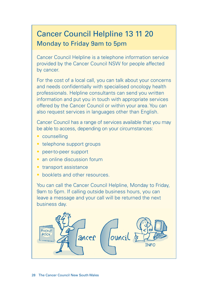## Cancer Council Helpline 13 11 20 Monday to Friday 9am to 5pm

Cancer Council Helpline is a telephone information service provided by the Cancer Council NSW for people affected by cancer.

For the cost of a local call, you can talk about your concerns and needs confidentially with specialised oncology health professionals. Helpline consultants can send you written information and put you in touch with appropriate services offered by the Cancer Council or within your area. You can also request services in languages other than English.

Cancer Council has a range of services available that you may be able to access, depending on your circumstances:

- counselling
- telephone support groups
- peer-to-peer support
- an online discussion forum
- transport assistance
- booklets and other resources.

You can call the Cancer Council Helpline, Monday to Friday, 9am to 5pm. If calling outside business hours, you can leave a message and your call will be returned the next business day.

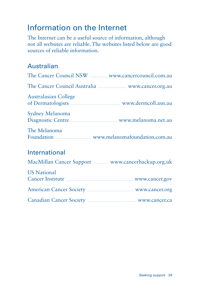## Information on the Internet

The Internet can be a useful source of information, although not all websites are reliable. The websites listed below are good sources of reliable information.

## Australian

|                             | The Cancer Council NSW <b>Example 2016</b> WWW.cancercouncil.com.au    |
|-----------------------------|------------------------------------------------------------------------|
|                             | The Cancer Council Australia <b>Manual Australia</b> www.cancer.org.au |
| <b>Australasian College</b> | of Dermatologists <b>Construction</b> www.dermcoll.asn.au              |
| Sydney Melanoma             | Diagnostic Centre <b>Commanding</b> www.melanoma.net.au                |
| The Melanoma                | Foundation <b>Manufacture 12</b> www.melanomafoundation.com.au         |

## International

|  |  |  |  | MacMillan Cancer Support MacWow.cancerbackup.org.uk |  |  |
|--|--|--|--|-----------------------------------------------------|--|--|
|--|--|--|--|-----------------------------------------------------|--|--|

| <b>US</b> National                                            |                |
|---------------------------------------------------------------|----------------|
| Cancer Institute <b>Manual</b> Cancer Institute               | www.cancer.gov |
| American Cancer Society <b>Example 20</b> and WWW.cancer.org  |                |
| Canadian Cancer Society <b>Exercise Society</b> WWW.cancer.ca |                |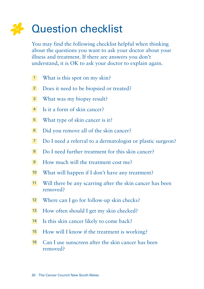# Question checklist

You may find the following checklist helpful when thinking about the questions you want to ask your doctor about your illness and treatment. If there are answers you don't understand, it is OK to ask your doctor to explain again.

- What is this spot on my skin?
- Does it need to be biopsied or treated?
- What was my biopsy result?
- Is it a form of skin cancer?
- What type of skin cancer is it?
- Did you remove all of the skin cancer?
- Do I need a referral to a dermatologist or plastic surgeon?
- Do I need further treatment for this skin cancer?
- How much will the treatment cost me?
- What will happen if I don't have any treatment?
- Will there be any scarring after the skin cancer has been removed?
- Where can I go for follow-up skin checks?
- How often should I get my skin checked?
- 14 Is this skin cancer likely to come back?
- How will I know if the treatment is working?
- Can I use sunscreen after the skin cancer has been removed?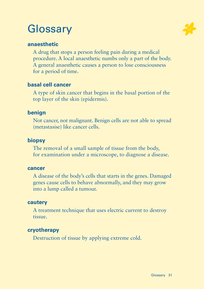# **Glossary**



### **anaesthetic**

A drug that stops a person feeling pain during a medical procedure. A local anaesthetic numbs only a part of the body. A general anaesthetic causes a person to lose consciousness for a period of time.

### **basal cell cancer**

A type of skin cancer that begins in the basal portion of the top layer of the skin (epidermis).

### **benign**

Not cancer, not malignant. Benign cells are not able to spread (metastasise) like cancer cells.

### **biopsy**

The removal of a small sample of tissue from the body, for examination under a microscope, to diagnose a disease.

#### **cancer**

A disease of the body's cells that starts in the genes. Damaged genes cause cells to behave abnormally, and they may grow into a lump called a tumour.

#### **cautery**

A treatment technique that uses electric current to destroy tissue.

### **cryotherapy**

Destruction of tissue by applying extreme cold.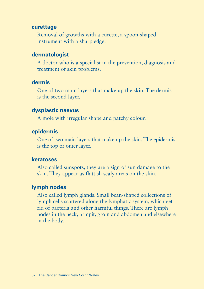#### **curettage**

Removal of growths with a curette, a spoon-shaped instrument with a sharp edge.

#### **dermatologist**

A doctor who is a specialist in the prevention, diagnosis and treatment of skin problems.

#### **dermis**

One of two main layers that make up the skin. The dermis is the second layer.

#### **dysplastic naevus**

A mole with irregular shape and patchy colour.

#### **epidermis**

One of two main layers that make up the skin. The epidermis is the top or outer layer.

#### **keratoses**

Also called sunspots, they are a sign of sun damage to the skin. They appear as flattish scaly areas on the skin.

#### **lymph nodes**

Also called lymph glands. Small bean-shaped collections of lymph cells scattered along the lymphatic system, which get rid of bacteria and other harmful things. There are lymph nodes in the neck, armpit, groin and abdomen and elsewhere in the body.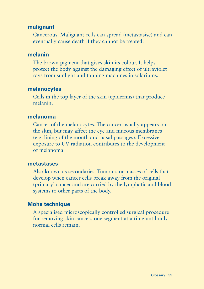### **malignant**

Cancerous. Malignant cells can spread (metastasise) and can eventually cause death if they cannot be treated.

#### **melanin**

The brown pigment that gives skin its colour. It helps protect the body against the damaging effect of ultraviolet rays from sunlight and tanning machines in solariums.

#### **melanocytes**

Cells in the top layer of the skin (epidermis) that produce melanin.

#### **melanoma**

Cancer of the melanocytes. The cancer usually appears on the skin, but may affect the eye and mucous membranes (e.g. lining of the mouth and nasal passages). Excessive exposure to UV radiation contributes to the development of melanoma.

#### **metastases**

Also known as secondaries. Tumours or masses of cells that develop when cancer cells break away from the original (primary) cancer and are carried by the lymphatic and blood systems to other parts of the body.

### **Mohs technique**

A specialised microscopically controlled surgical procedure for removing skin cancers one segment at a time until only normal cells remain.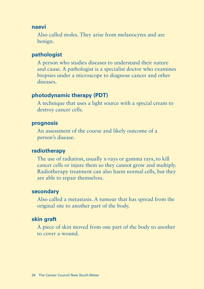#### **naevi**

Also called moles. They arise from melanocytes and are benign.

#### **pathologist**

A person who studies diseases to understand their nature and cause. A pathologist is a specialist doctor who examines biopsies under a microscope to diagnose cancer and other diseases.

#### **photodynamic therapy (PDT)**

A technique that uses a light source with a special cream to destroy cancer cells.

### **prognosis**

An assessment of the course and likely outcome of a person's disease.

#### **radiotherapy**

The use of radiation, usually x-rays or gamma rays, to kill cancer cells or injure them so they cannot grow and multiply. Radiotherapy treatment can also harm normal cells, but they are able to repair themselves.

#### **secondary**

Also called a metastasis. A tumour that has spread from the original site to another part of the body.

#### **skin graft**

A piece of skin moved from one part of the body to another to cover a wound.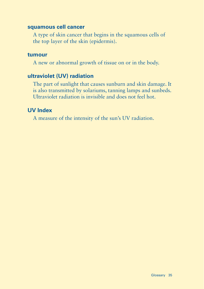#### **squamous cell cancer**

A type of skin cancer that begins in the squamous cells of the top layer of the skin (epidermis).

#### **tumour**

A new or abnormal growth of tissue on or in the body.

#### **ultraviolet (UV) radiation**

The part of sunlight that causes sunburn and skin damage. It is also transmitted by solariums, tanning lamps and sunbeds. Ultraviolet radiation is invisible and does not feel hot.

#### **UV Index**

A measure of the intensity of the sun's UV radiation.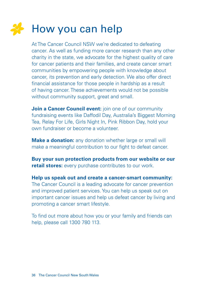# How you can help

At The Cancer Council NSW we're dedicated to defeating cancer. As well as funding more cancer research than any other charity in the state, we advocate for the highest quality of care for cancer patients and their families, and create cancer smart communities by empowering people with knowledge about cancer, its prevention and early detection. We also offer direct financial assistance for those people in hardship as a result of having cancer. These achievements would not be possible without community support, great and small.

**Join a Cancer Council event:** join one of our community fundraising events like Daffodil Day, Australia's Biggest Morning Tea, Relay For Life, Girls Night In, Pink Ribbon Day, hold your own fundraiser or become a volunteer.

**Make a donation:** any donation whether large or small will make a meaningful contribution to our fight to defeat cancer.

**Buy your sun protection products from our website or our retail stores:** every purchase contributes to our work.

**Help us speak out and create a cancer-smart community:** The Cancer Council is a leading advocate for cancer prevention and improved patient services. You can help us speak out on important cancer issues and help us defeat cancer by living and promoting a cancer smart lifestyle.

To find out more about how you or your family and friends can help, please call 1300 780 113.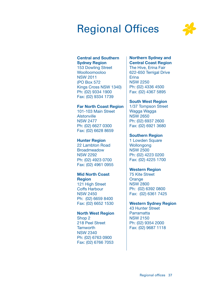# Regional Offices



#### Central and Southern Sydney Region

153 Dowling Street Woolloomooloo NSW 2011 (PO Box 572 Kings Cross NSW 1340) Ph: (02) 9334 1900 Fax: (02) 9334 1739

#### Far North Coast Region

101-103 Main Street Alstonville NSW 2477 Ph: (02) 6627 0300 Fax: (02) 6628 8659

#### Hunter Region

22 Lambton Road Broadmeadow NSW 2292 Ph: (02) 4923 0700 Fax: (02) 4961 0955

#### Mid North Coast **Region**

121 High Street Coffs Harbour NSW 2450 Ph: (02) 6659 8400 Fax: (02) 6652 1530

#### North West Region

Shop 2 218 Peel Street **Tamworth** NSW 2340 Ph: (02) 6763 0900 Fax: (02) 6766 7053

#### Northern Sydney and Central Coast Region

The Hive, Erina Fair 622-650 Terrigal Drive Erina NSW 2250 Ph: (02) 4336 4500 Fax: (02) 4367 5895

#### South West Region

1/37 Tompson Street Wagga Wagga NSW 2650 Ph: (02) 6937 2600 Fax: (02) 6921 3680

#### Southern Region

1 Lowden Square **Wollongong** NSW 2500 Ph: (02) 4223 0200 Fax: (02) 4225 1700

#### Western Region

75 Kite Street Orange NSW 2800 Ph: (02) 6392 0800 Fax: (02) 6361 7425

#### Western Sydney Region

43 Hunter Street Parramatta NSW 2150 Ph: (02) 9354 2000 Fax: (02) 9687 1118